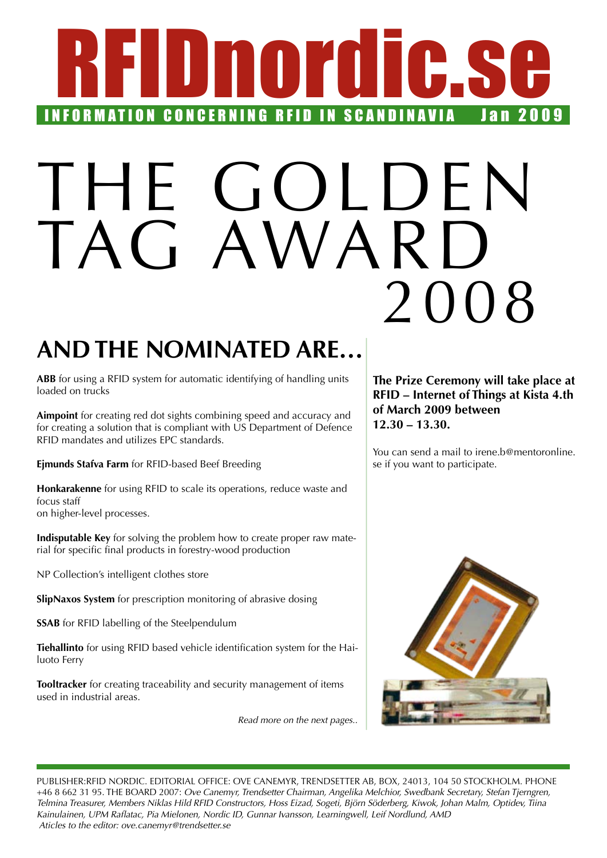# RRING RFID IN SCANDINAVIA JAN 2009 **INFORMATION CONCERNING RFID IN SCANDINAVIA**

# IHE GOLDEN TAG AWARD 2008

## **And the nominated are…**

**ABB** for using a RFID system for automatic identifying of handling units loaded on trucks

**Aimpoint** for creating red dot sights combining speed and accuracy and for creating a solution that is compliant with US Department of Defence RFID mandates and utilizes EPC standards.

**Ejmunds Stafva Farm** for RFID-based Beef Breeding

**Honkarakenne** for using RFID to scale its operations, reduce waste and focus staff on higher-level processes.

**Indisputable Key** for solving the problem how to create proper raw material for specific final products in forestry-wood production

NP Collection's intelligent clothes store

**SlipNaxos System** for prescription monitoring of abrasive dosing

**SSAB** for RFID labelling of the Steelpendulum

**Tiehallinto** for using RFID based vehicle identification system for the Hailuoto Ferry

**Tooltracker** for creating traceability and security management of items used in industrial areas.

*Read more on the next pages..*

**The Prize Ceremony will take place at RFID – Internet of Things at Kista 4.th of March 2009 between 12.30 – 13.30.**

You can send a mail to irene.b@mentoronline. se if you want to participate.



Publisher:RFID Nordic. Editorial office: Ove Canemyr, Trendsetter AB, Box, 24013, 104 50 Stockholm. Phone +46 8 662 31 95. the board 2007: *Ove Canemyr, Trendsetter Chairman, Angelika Melchior, Swedbank Secretary, Stefan Tjerngren, Telmina Treasurer, Members Niklas Hild RFID Constructors, Hoss Eizad, Sogeti, Björn Söderberg, Kiwok, Johan Malm, Optidev, Tiina Kainulainen, UPM Raflatac, Pia Mielonen, Nordic ID, Gunnar Ivansson, Learningwell, Leif Nordlund, AMD Aticles to the editor: ove.canemyr@trendsetter.se*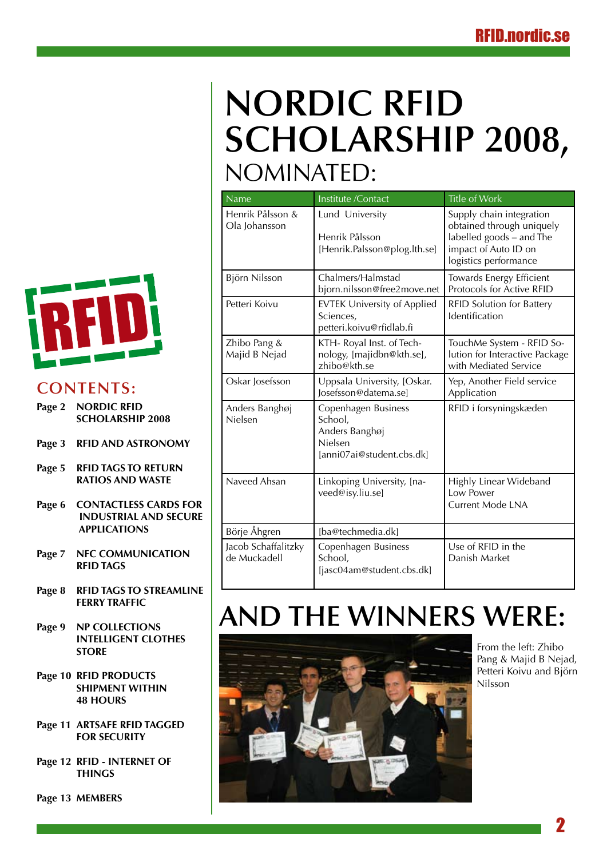# **Nordic RFID Scholarship 2008,**  Nominated:

| Name                                | Institute /Contact                                                                       | <b>Title of Work</b>                                                                                                               |
|-------------------------------------|------------------------------------------------------------------------------------------|------------------------------------------------------------------------------------------------------------------------------------|
| Henrik Pålsson &<br>Ola Johansson   | Lund University<br>Henrik Pålsson<br>[Henrik.Palsson@plog.lth.se]                        | Supply chain integration<br>obtained through uniquely<br>labelled goods - and The<br>impact of Auto ID on<br>logistics performance |
| Björn Nilsson                       | Chalmers/Halmstad<br>bjorn.nilsson@free2move.net                                         | Towards Energy Efficient<br>Protocols for Active RFID                                                                              |
| Petteri Koivu                       | <b>EVTEK University of Applied</b><br>Sciences,<br>petteri.koivu@rfidlab.fi              | <b>RFID Solution for Battery</b><br>Identification                                                                                 |
| Zhibo Pang &<br>Majid B Nejad       | KTH- Royal Inst. of Tech-<br>nology, [majidbn@kth.se],<br>zhibo@kth.se                   | TouchMe System - RFID So-<br>lution for Interactive Package<br>with Mediated Service                                               |
| Oskar Josefsson                     | Uppsala University, [Oskar.<br>losefsson@datema.sel                                      | Yep, Another Field service<br>Application                                                                                          |
| Anders Banghøj<br>Nielsen           | Copenhagen Business<br>School,<br>Anders Banghøj<br>Nielsen<br>[anni07ai@student.cbs.dk] | RFID i forsyningskæden                                                                                                             |
| Naveed Ahsan                        | Linkoping University, [na-<br>veed@isy.liu.se]                                           | Highly Linear Wideband<br>Low Power<br>Current Mode LNA                                                                            |
| Börje Åhgren                        | [ba@techmedia.dk]                                                                        |                                                                                                                                    |
| Jacob Schaffalitzky<br>de Muckadell | Copenhagen Business<br>School,<br>[jasc04am@student.cbs.dk]                              | Use of RFID in the<br>Danish Market                                                                                                |

# **And the winners were:**



From the left: Zhibo Pang & Majid B Nejad, Petteri Koivu and Björn Nilsson



## **Contents:**

- **Page 2 NORDIC RFID SCHOLARSHIP 2008**
- **[Page 3 RFID AND ASTRONOMY](#page-2-0)**
- **[Page 5 RFID](#page-4-0) TAGS TO RETURN  [RATIOS AND WASTE](#page-4-0)**
- **Page 6 [CONTACTLESS CARDS FOR](#page-5-0) [INDUSTRIAL AND SECURE](#page-5-0)  [APPLICATIONS](#page-5-0)**
- **[Page 7 NFC COMMUNICATION](#page-6-0)  [RFID](#page-6-0) TAGS**
- **Page 8 RFID [TAGS TO STREAMLINE](#page-7-0) [FERRY TRAFFIC](#page-7-0)**
- **[Page 9 NP COLLECTIONS](#page-8-0)   [INTELLIGENT CLOTHES](#page-8-0)  [STORE](#page-8-0)**
- **[Page 10 RFID PRODUCTS](#page-9-0)  [SHIPMENT WITHIN](#page-9-0) [48 HOURS](#page-9-0)**
- **Page 11 [ARTSAFE](#page-10-0) RFID TAGGED [FOR SECURITY](#page-10-0)**
- **[Page 12 RFID INTERNET](#page-11-0) OF  [THINGS](#page-11-0)**

**[Page 13 MEMBERS](#page-12-0)**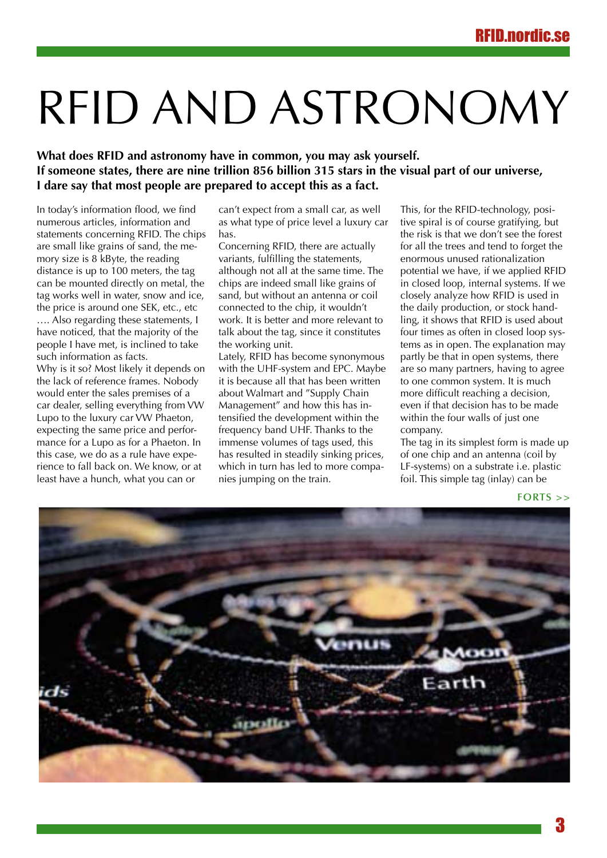# <span id="page-2-0"></span>RFID AND ASTRONOMY

**What does RFID and astronomy have in common, you may ask yourself. If someone states, there are nine trillion 856 billion 315 stars in the visual part of our universe, I dare say that most people are prepared to accept this as a fact.**

In today's information flood, we find numerous articles, information and statements concerning RFID. The chips are small like grains of sand, the memory size is 8 kByte, the reading distance is up to 100 meters, the tag can be mounted directly on metal, the tag works well in water, snow and ice, the price is around one SEK, etc., etc

…. Also regarding these statements, I have noticed, that the majority of the people I have met, is inclined to take such information as facts.

Why is it so? Most likely it depends on the lack of reference frames. Nobody would enter the sales premises of a car dealer, selling everything from VW Lupo to the luxury car VW Phaeton, expecting the same price and performance for a Lupo as for a Phaeton. In this case, we do as a rule have experience to fall back on. We know, or at least have a hunch, what you can or

can't expect from a small car, as well as what type of price level a luxury car has.

Concerning RFID, there are actually variants, fulfilling the statements, although not all at the same time. The chips are indeed small like grains of sand, but without an antenna or coil connected to the chip, it wouldn't work. It is better and more relevant to talk about the tag, since it constitutes the working unit.

Lately, RFID has become synonymous with the UHF-system and EPC. Maybe it is because all that has been written about Walmart and "Supply Chain Management" and how this has intensified the development within the frequency band UHF. Thanks to the immense volumes of tags used, this has resulted in steadily sinking prices, which in turn has led to more companies jumping on the train.

This, for the RFID-technology, positive spiral is of course gratifying, but the risk is that we don't see the forest for all the trees and tend to forget the enormous unused rationalization potential we have, if we applied RFID in closed loop, internal systems. If we closely analyze how RFID is used in the daily production, or stock handling, it shows that RFID is used about four times as often in closed loop systems as in open. The explanation may partly be that in open systems, there are so many partners, having to agree to one common system. It is much more difficult reaching a decision, even if that decision has to be made within the four walls of just one company.

The tag in its simplest form is made up of one chip and an antenna (coil by LF-systems) on a substrate i.e. plastic foil. This simple tag (inlay) can be

**forts >>**

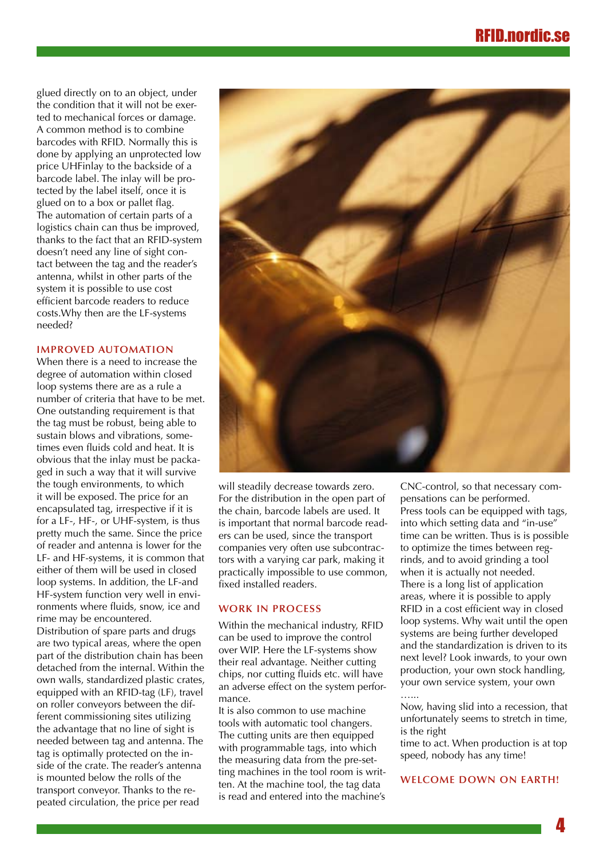glued directly on to an object, under the condition that it will not be exerted to mechanical forces or damage. A common method is to combine barcodes with RFID. Normally this is done by applying an unprotected low price UHFinlay to the backside of a barcode label. The inlay will be protected by the label itself, once it is glued on to a box or pallet flag. The automation of certain parts of a logistics chain can thus be improved, thanks to the fact that an RFID-system doesn't need any line of sight contact between the tag and the reader's antenna, whilst in other parts of the system it is possible to use cost efficient barcode readers to reduce costs.Why then are the LF-systems needed?

#### **Improved automation**

When there is a need to increase the degree of automation within closed loop systems there are as a rule a number of criteria that have to be met. One outstanding requirement is that the tag must be robust, being able to sustain blows and vibrations, sometimes even fluids cold and heat. It is obvious that the inlay must be packaged in such a way that it will survive the tough environments, to which it will be exposed. The price for an encapsulated tag, irrespective if it is for a LF-, HF-, or UHF-system, is thus pretty much the same. Since the price of reader and antenna is lower for the LF- and HF-systems, it is common that either of them will be used in closed loop systems. In addition, the LF-and HF-system function very well in environments where fluids, snow, ice and rime may be encountered.

Distribution of spare parts and drugs are two typical areas, where the open part of the distribution chain has been detached from the internal. Within the own walls, standardized plastic crates, equipped with an RFID-tag (LF), travel on roller conveyors between the different commissioning sites utilizing the advantage that no line of sight is needed between tag and antenna. The tag is optimally protected on the inside of the crate. The reader's antenna is mounted below the rolls of the transport conveyor. Thanks to the repeated circulation, the price per read



will steadily decrease towards zero. For the distribution in the open part of the chain, barcode labels are used. It is important that normal barcode readers can be used, since the transport companies very often use subcontractors with a varying car park, making it practically impossible to use common, fixed installed readers.

### **Work In Process**

Within the mechanical industry, RFID can be used to improve the control over WIP. Here the LF-systems show their real advantage. Neither cutting chips, nor cutting fluids etc. will have an adverse effect on the system performance.

It is also common to use machine tools with automatic tool changers. The cutting units are then equipped with programmable tags, into which the measuring data from the pre-setting machines in the tool room is written. At the machine tool, the tag data is read and entered into the machine's

CNC-control, so that necessary compensations can be performed. Press tools can be equipped with tags, into which setting data and "in-use" time can be written. Thus is is possible to optimize the times between regrinds, and to avoid grinding a tool when it is actually not needed. There is a long list of application areas, where it is possible to apply RFID in a cost efficient way in closed loop systems. Why wait until the open systems are being further developed and the standardization is driven to its next level? Look inwards, to your own production, your own stock handling, your own service system, your own …...

Now, having slid into a recession, that unfortunately seems to stretch in time, is the right

time to act. When production is at top speed, nobody has any time!

#### **Welcome down on earth!**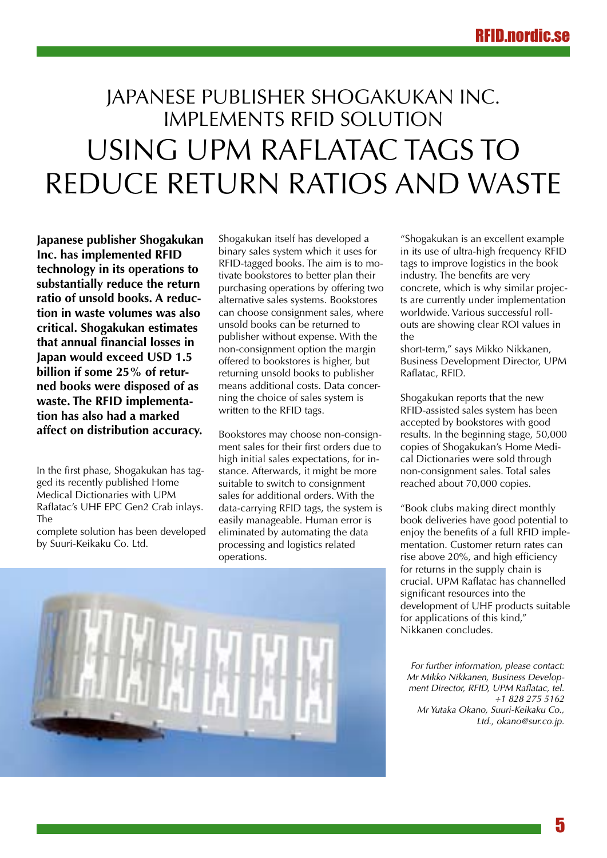## <span id="page-4-0"></span>Japanese publisher Shogakukan Inc. implements RFID solution using UPM Raflatac tags to reduce return ratios and waste

**Japanese publisher Shogakukan Inc. has implemented RFID technology in its operations to substantially reduce the return ratio of unsold books. A reduction in waste volumes was also critical. Shogakukan estimates that annual financial losses in Japan would exceed USD 1.5 billion if some 25% of returned books were disposed of as waste. The RFID implementation has also had a marked affect on distribution accuracy.**

In the first phase, Shogakukan has tagged its recently published Home Medical Dictionaries with UPM Raflatac's UHF EPC Gen2 Crab inlays. The

complete solution has been developed by Suuri-Keikaku Co. Ltd.

Shogakukan itself has developed a binary sales system which it uses for RFID-tagged books. The aim is to motivate bookstores to better plan their purchasing operations by offering two alternative sales systems. Bookstores can choose consignment sales, where unsold books can be returned to publisher without expense. With the non-consignment option the margin offered to bookstores is higher, but returning unsold books to publisher means additional costs. Data concerning the choice of sales system is written to the RFID tags.

Bookstores may choose non-consignment sales for their first orders due to high initial sales expectations, for instance. Afterwards, it might be more suitable to switch to consignment sales for additional orders. With the data-carrying RFID tags, the system is easily manageable. Human error is eliminated by automating the data processing and logistics related operations.

"Shogakukan is an excellent example in its use of ultra-high frequency RFID tags to improve logistics in the book industry. The benefits are very concrete, which is why similar projects are currently under implementation worldwide. Various successful rollouts are showing clear ROI values in the

short-term," says Mikko Nikkanen, Business Development Director, UPM Raflatac, RFID.

Shogakukan reports that the new RFID-assisted sales system has been accepted by bookstores with good results. In the beginning stage, 50,000 copies of Shogakukan's Home Medical Dictionaries were sold through non-consignment sales. Total sales reached about 70,000 copies.

"Book clubs making direct monthly book deliveries have good potential to enjoy the benefits of a full RFID implementation. Customer return rates can rise above 20%, and high efficiency for returns in the supply chain is crucial. UPM Raflatac has channelled significant resources into the development of UHF products suitable for applications of this kind," Nikkanen concludes.

*For further information, please contact: Mr Mikko Nikkanen, Business Development Director, RFID, UPM Raflatac, tel. +1 828 275 5162 Mr Yutaka Okano, Suuri-Keikaku Co., Ltd., okano@sur.co.jp.*

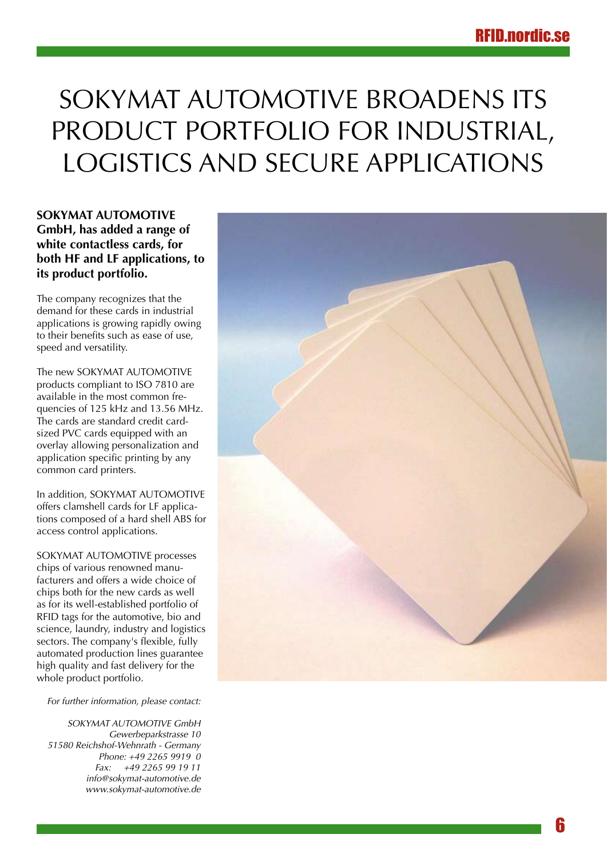# <span id="page-5-0"></span>SOKYMAT AUTOMOTIVE BROADENS ITS product portfolio for industrial, logistics and secure applications

**SOKYMAT AUTOMOTIVE GmbH, has added a range of white contactless cards, for both HF and LF applications, to its product portfolio.** 

The company recognizes that the demand for these cards in industrial applications is growing rapidly owing to their benefits such as ease of use, speed and versatility.

The new SOKYMAT AUTOMOTIVE products compliant to ISO 7810 are available in the most common frequencies of 125 kHz and 13.56 MHz. The cards are standard credit cardsized PVC cards equipped with an overlay allowing personalization and application specific printing by any common card printers.

In addition, SOKYMAT AUTOMOTIVE offers clamshell cards for LF applications composed of a hard shell ABS for access control applications.

SOKYMAT AUTOMOTIVE processes chips of various renowned manufacturers and offers a wide choice of chips both for the new cards as well as for its well-established portfolio of RFID tags for the automotive, bio and science, laundry, industry and logistics sectors. The company's flexible, fully automated production lines guarantee high quality and fast delivery for the whole product portfolio.

*For further information, please contact:*

*SOKYMAT AUTOMOTIVE GmbH Gewerbeparkstrasse 10 51580 Reichshof-Wehnrath - Germany Phone: +49 2265 9919 0 Fax: +49 2265 99 19 11 info@sokymat-automotive.de www.sokymat-automotive.de*

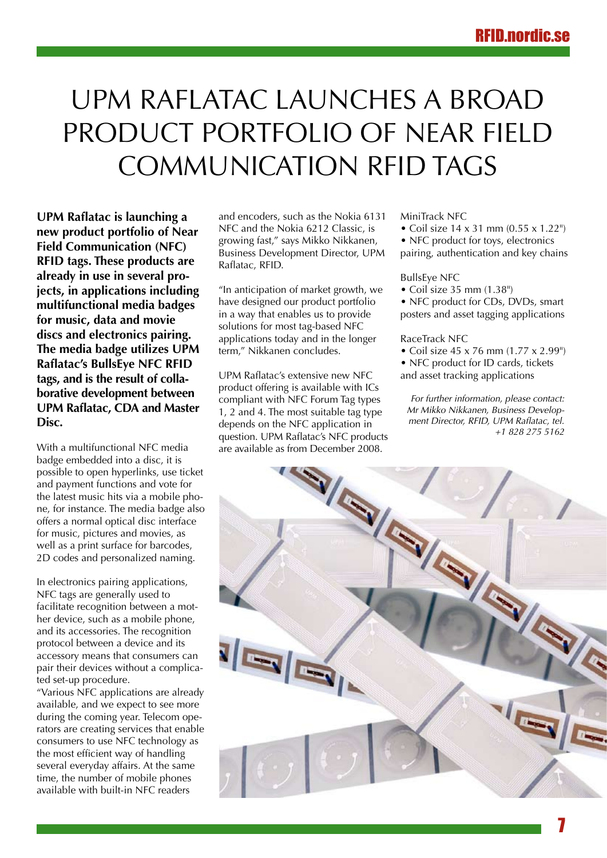# <span id="page-6-0"></span>UPM Raflatac launches a broad product portfolio of Near Field Communication RFID tags

**UPM Raflatac is launching a new product portfolio of Near Field Communication (NFC) RFID tags. These products are already in use in several projects, in applications including multifunctional media badges for music, data and movie discs and electronics pairing. The media badge utilizes UPM Raflatac's BullsEye NFC RFID tags, and is the result of collaborative development between UPM Raflatac, CDA and Master Disc.**

With a multifunctional NFC media badge embedded into a disc, it is possible to open hyperlinks, use ticket and payment functions and vote for the latest music hits via a mobile phone, for instance. The media badge also offers a normal optical disc interface for music, pictures and movies, as well as a print surface for barcodes, 2D codes and personalized naming.

In electronics pairing applications, NFC tags are generally used to facilitate recognition between a mother device, such as a mobile phone, and its accessories. The recognition protocol between a device and its accessory means that consumers can pair their devices without a complicated set-up procedure.

"Various NFC applications are already available, and we expect to see more during the coming year. Telecom operators are creating services that enable consumers to use NFC technology as the most efficient way of handling several everyday affairs. At the same time, the number of mobile phones available with built-in NFC readers

and encoders, such as the Nokia 6131 NFC and the Nokia 6212 Classic, is growing fast," says Mikko Nikkanen, Business Development Director, UPM Raflatac, RFID.

"In anticipation of market growth, we have designed our product portfolio in a way that enables us to provide solutions for most tag-based NFC applications today and in the longer term," Nikkanen concludes.

UPM Raflatac's extensive new NFC product offering is available with ICs compliant with NFC Forum Tag types 1, 2 and 4. The most suitable tag type depends on the NFC application in are available as from December 2008.

#### MiniTrack NFC

- Coil size 14 x 31 mm (0.55 x 1.22")
- NFC product for toys, electronics pairing, authentication and key chains

#### BullsEye NFC

• Coil size 35 mm (1.38")

• NFC product for CDs, DVDs, smart posters and asset tagging applications

#### RaceTrack NFC

- Coil size 45 x 76 mm (1.77 x 2.99")
- NFC product for ID cards, tickets and asset tracking applications

*For further information, please contact: Mr Mikko Nikkanen, Business Development Director, RFID, UPM Raflatac, tel. +1 828 275 5162*

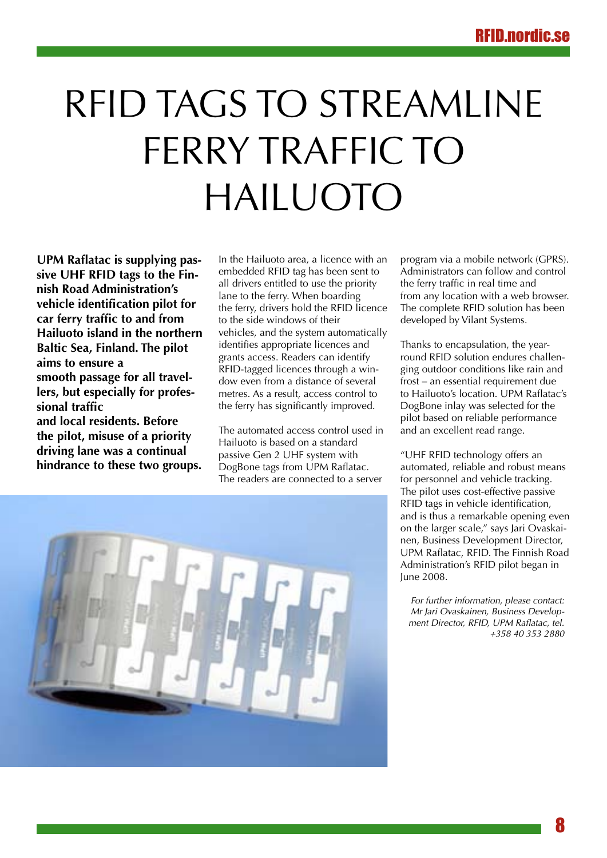# <span id="page-7-0"></span>RFID tags to streamline FFRRY TRAFFIC TO Hailuoto

**UPM Raflatac is supplying passive UHF RFID tags to the Finnish Road Administration's vehicle identification pilot for car ferry traffic to and from Hailuoto island in the northern Baltic Sea, Finland. The pilot aims to ensure a smooth passage for all travellers, but especially for professional traffic and local residents. Before the pilot, misuse of a priority** 

**driving lane was a continual hindrance to these two groups.** In the Hailuoto area, a licence with an embedded RFID tag has been sent to all drivers entitled to use the priority lane to the ferry. When boarding the ferry, drivers hold the RFID licence to the side windows of their vehicles, and the system automatically identifies appropriate licences and grants access. Readers can identify RFID-tagged licences through a window even from a distance of several metres. As a result, access control to the ferry has significantly improved.

The automated access control used in Hailuoto is based on a standard passive Gen 2 UHF system with DogBone tags from UPM Raflatac. The readers are connected to a server

program via a mobile network (GPRS). Administrators can follow and control the ferry traffic in real time and from any location with a web browser. The complete RFID solution has been developed by Vilant Systems.

Thanks to encapsulation, the yearround RFID solution endures challenging outdoor conditions like rain and frost – an essential requirement due to Hailuoto's location. UPM Raflatac's DogBone inlay was selected for the pilot based on reliable performance and an excellent read range.

"UHF RFID technology offers an automated, reliable and robust means for personnel and vehicle tracking. The pilot uses cost-effective passive RFID tags in vehicle identification, and is thus a remarkable opening even on the larger scale," says Jari Ovaskainen, Business Development Director, UPM Raflatac, RFID. The Finnish Road Administration's RFID pilot began in June 2008.

*For further information, please contact: Mr Jari Ovaskainen, Business Development Director, RFID, UPM Raflatac, tel. +358 40 353 2880*

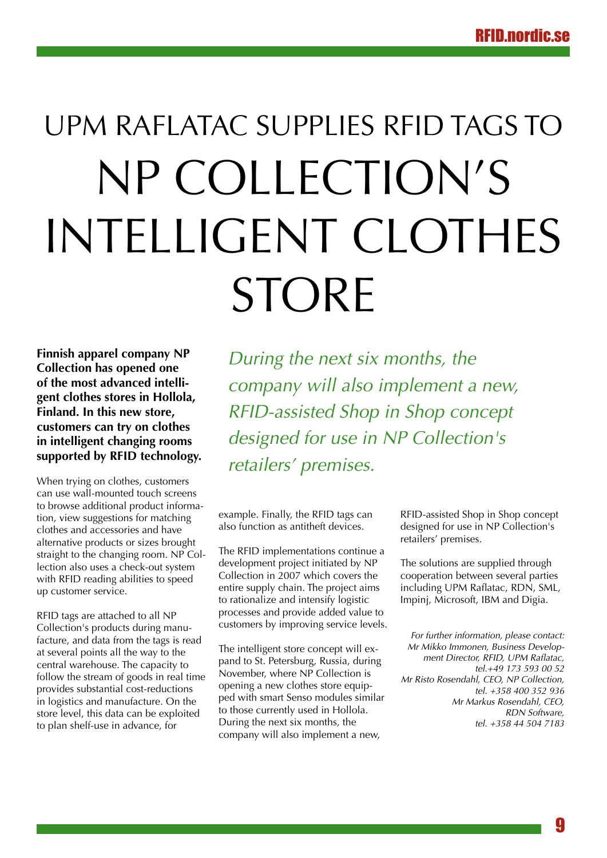# <span id="page-8-0"></span>UPM Raflatac supplies RFID tags to NP Collection's intelligent clothes **STORE**

**Finnish apparel company NP Collection has opened one of the most advanced intelligent clothes stores in Hollola, Finland. In this new store, customers can try on clothes in intelligent changing rooms supported by RFID technology.** 

When trying on clothes, customers can use wall-mounted touch screens to browse additional product information, view suggestions for matching clothes and accessories and have alternative products or sizes brought straight to the changing room. NP Collection also uses a check-out system with RFID reading abilities to speed up customer service.

RFID tags are attached to all NP Collection's products during manufacture, and data from the tags is read at several points all the way to the central warehouse. The capacity to follow the stream of goods in real time provides substantial cost-reductions in logistics and manufacture. On the store level, this data can be exploited to plan shelf-use in advance, for

*During the next six months, the company will also implement a new, RFID-assisted Shop in Shop concept designed for use in NP Collection's retailers' premises.*

example. Finally, the RFID tags can also function as antitheft devices.

The RFID implementations continue a development project initiated by NP Collection in 2007 which covers the entire supply chain. The project aims to rationalize and intensify logistic processes and provide added value to customers by improving service levels.

The intelligent store concept will expand to St. Petersburg, Russia, during November, where NP Collection is opening a new clothes store equipped with smart Senso modules similar to those currently used in Hollola. During the next six months, the company will also implement a new,

RFID-assisted Shop in Shop concept designed for use in NP Collection's retailers' premises.

The solutions are supplied through cooperation between several parties including UPM Raflatac, RDN, SML, Impinj, Microsoft, IBM and Digia.

*For further information, please contact: Mr Mikko Immonen, Business Development Director, RFID, UPM Raflatac, tel.+49 173 593 00 52 Mr Risto Rosendahl, CEO, NP Collection, tel. +358 400 352 936 Mr Markus Rosendahl, CEO, RDN Software, tel. +358 44 504 7183*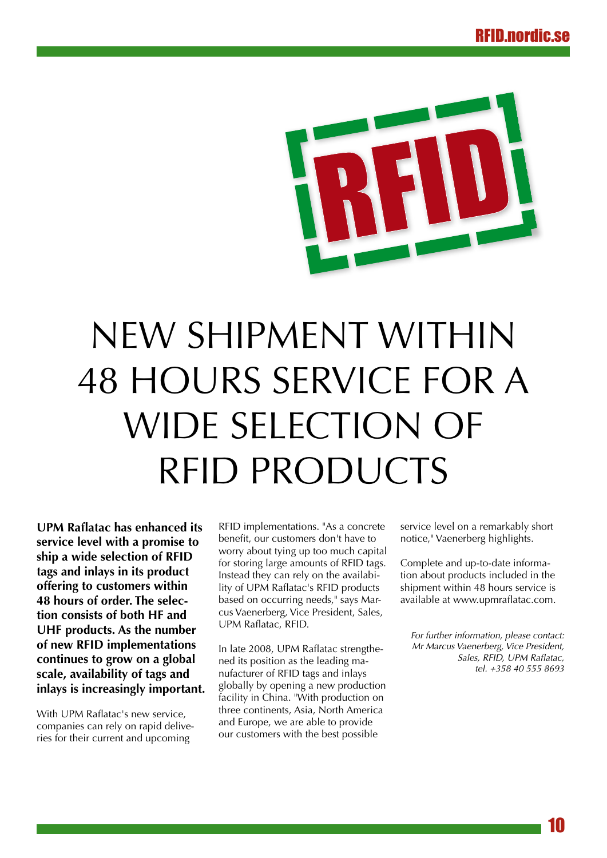<span id="page-9-0"></span>

# New shipment within 48 hours service for a wide selection of RFID PRODUCTS

**UPM Raflatac has enhanced its service level with a promise to ship a wide selection of RFID tags and inlays in its product offering to customers within 48 hours of order. The selection consists of both HF and UHF products. As the number of new RFID implementations continues to grow on a global scale, availability of tags and inlays is increasingly important.**

With UPM Raflatac's new service, companies can rely on rapid deliveries for their current and upcoming

RFID implementations. "As a concrete benefit, our customers don't have to worry about tying up too much capital for storing large amounts of RFID tags. Instead they can rely on the availability of UPM Raflatac's RFID products based on occurring needs," says Marcus Vaenerberg, Vice President, Sales, UPM Raflatac, RFID.

In late 2008, UPM Raflatac strengthened its position as the leading manufacturer of RFID tags and inlays globally by opening a new production facility in China. "With production on three continents, Asia, North America and Europe, we are able to provide our customers with the best possible

service level on a remarkably short notice," Vaenerberg highlights.

Complete and up-to-date information about products included in the shipment within 48 hours service is available at www.upmraflatac.com.

*For further information, please contact: Mr Marcus Vaenerberg, Vice President, Sales, RFID, UPM Raflatac, tel. +358 40 555 8693*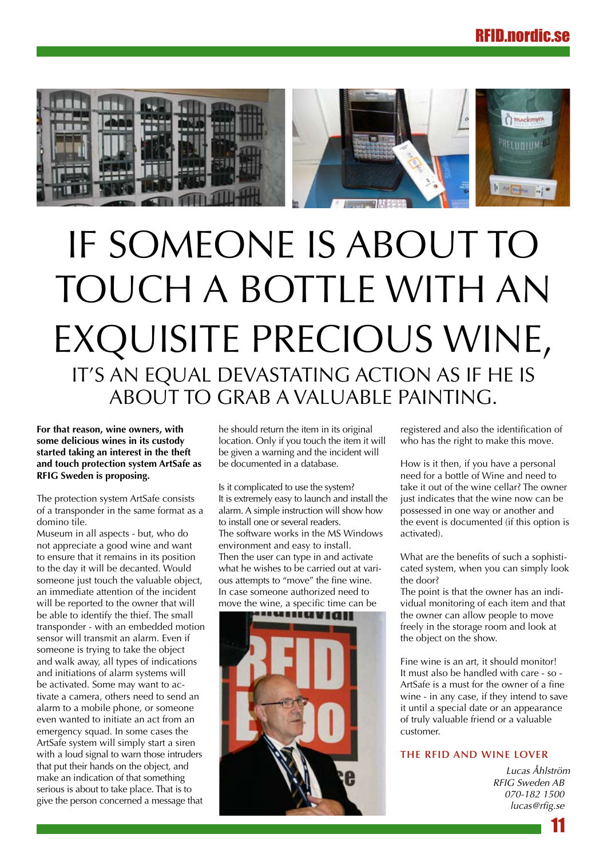<span id="page-10-0"></span>

# IF SOMEONE IS ABOUT TO touch a bottle with an EXQUISITE PRECIOUS WINE, IT'S AN EQUAL DEVASTATING ACTION AS IF HE IS about to grab a valuable painting.

**For that reason, wine owners, with some delicious wines in its custody started taking an interest in the theft and touch protection system ArtSafe as RFIG Sweden is proposing.** 

The protection system ArtSafe consists of a transponder in the same format as a domino tile.

Museum in all aspects - but, who do not appreciate a good wine and want to ensure that it remains in its position to the day it will be decanted. Would someone just touch the valuable object, an immediate attention of the incident will be reported to the owner that will be able to identify the thief. The small transponder - with an embedded motion sensor will transmit an alarm. Even if someone is trying to take the object and walk away, all types of indications and initiations of alarm systems will be activated. Some may want to activate a camera, others need to send an alarm to a mobile phone, or someone even wanted to initiate an act from an emergency squad. In some cases the ArtSafe system will simply start a siren with a loud signal to warn those intruders that put their hands on the object, and make an indication of that something serious is about to take place. That is to give the person concerned a message that

he should return the item in its original location. Only if you touch the item it will be given a warning and the incident will be documented in a database.

Is it complicated to use the system? It is extremely easy to launch and install the alarm. A simple instruction will show how to install one or several readers. The software works in the MS Windows environment and easy to install. Then the user can type in and activate what he wishes to be carried out at various attempts to "move" the fine wine. In case someone authorized need to move the wine, a specific time can be



registered and also the identification of who has the right to make this move.

How is it then, if you have a personal need for a bottle of Wine and need to take it out of the wine cellar? The owner just indicates that the wine now can be possessed in one way or another and the event is documented (if this option is activated).

What are the benefits of such a sophisticated system, when you can simply look the door?

The point is that the owner has an individual monitoring of each item and that the owner can allow people to move freely in the storage room and look at the object on the show.

Fine wine is an art, it should monitor! It must also be handled with care - so - ArtSafe is a must for the owner of a fine wine - in any case, if they intend to save it until a special date or an appearance of truly valuable friend or a valuable customer.

#### **The RFID and wine lover**

*Lucas Åhlström RFIG Sweden AB 070-182 1500 lucas@rfig.se*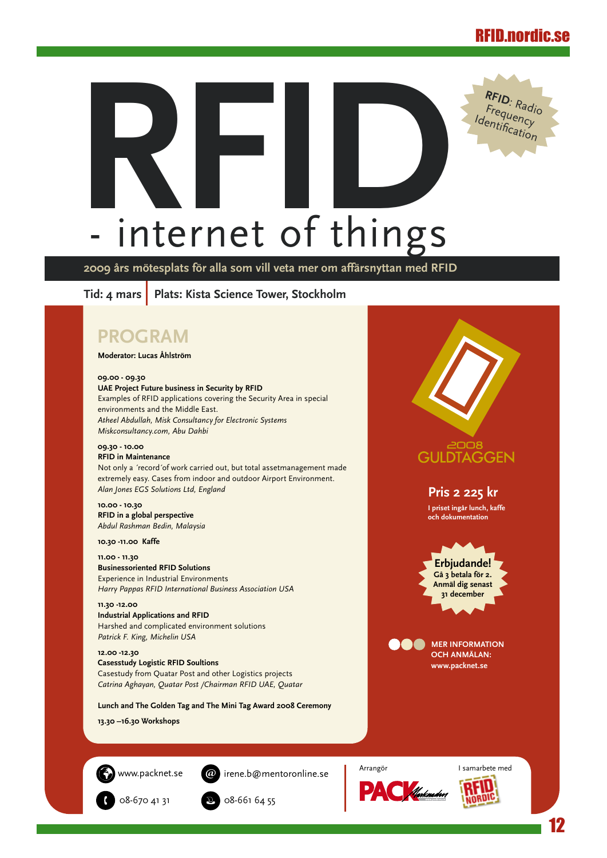<span id="page-11-0"></span>

**2009 års mötesplats för alla som vill veta mer om affärsnyttan med RFID**

Tid: 4 mars | Plats: Kista Science Tower, Stockholm

## **PROGRAM**

#### **Moderator: Lucas Åhlström**

**09.00 - 09.30**

**UAE Project Future business in Security by RFID** Examples of RFID applications covering the Security Area in special environments and the Middle East. *Atheel Abdullah, Misk Consultancy for Electronic Systems Miskconsultancy.com, Abu Dahbi*

#### **09.30 - 10.00 RFID in Maintenance**

Not only a ´record´of work carried out, but total assetmanagement made extremely easy. Cases from indoor and outdoor Airport Environment. *Alan Jones EGS Solutions Ltd, England* 

#### **10.00 - 10.30 RFID in a global perspective** *Abdul Rashman Bedin, Malaysia*

**10.30 -11.00 Kaffe**

**11.00 - 11.30 Businessoriented RFID Solutions** Experience in Industrial Environments *Harry Pappas RFID International Business Association USA*

#### **11.30 -12.00 Industrial Applications and RFID**  Harshed and complicated environment solutions *Patrick F. King, Michelin USA*

**12.00 -12.30 Casesstudy Logistic RFID Soultions**  Casestudy from Quatar Post and other Logistics projects *Catrina Aghayan, Quatar Post /Chairman RFID UAE, Quatar*

**Lunch and The Golden Tag and The Mini Tag Award 2008 Ceremony**

**13.30 –16.30 Workshops**

www.packnet.se

irene.b@mentoronline.se





**Pris 2 225 kr I priset ingår lunch, kaffe och dokumentation**

2008 **GULDTAGGEN** 

> **Erbjudande! Gå 3 betala för 2. Anmäl dig senast 31 december**

**MER INFORMATION OCH ANMÄLAN: www.packnet.se**





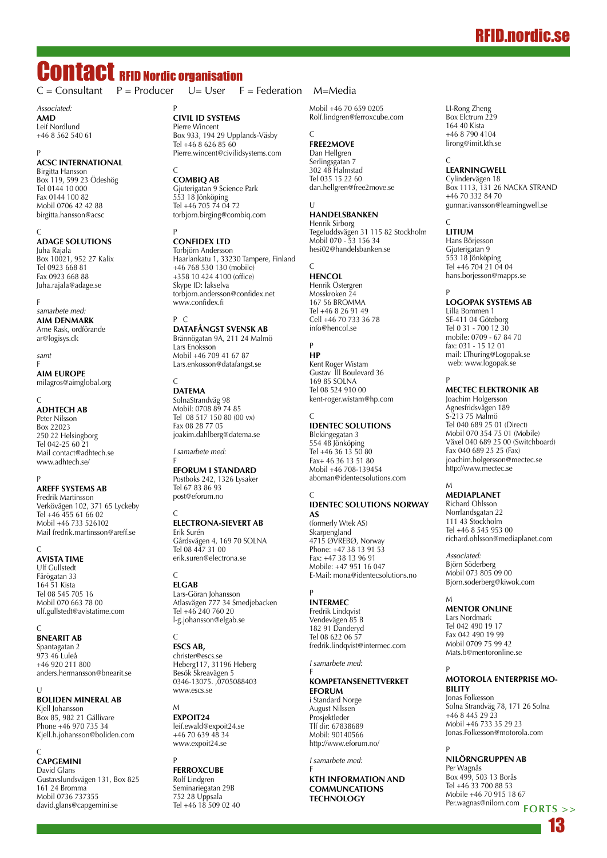## RFID.nordic.se

# <span id="page-12-0"></span>**Contact RFID Nordic organisation**<br> $C = \text{Consultant}$   $P = \text{Product}$   $U = \text{User}$  **F**

*Associated:* **AMD** Leif Nordlund +46 8 562 540 61

#### P **ACSC International**

Birgitta Hansson Box 119, 599 23 Ödeshög Tel 0144 10 000 Fax 0144 100 82 Mobil 0706 42 42 88 birgitta.hansson@acsc

#### C **ADAGE Solutions**

Juha Rajala Box 10021, 952 27 Kalix Tel 0923 668 81 Fax 0923 668 88 Juha.rajala@adage.se

F

*samarbete med:* **AIM Denmark** Arne Rask, ordförande

ar@logisys.dk

*samt* F

**AIM Europe** milagros@aimglobal.org

C **AdhTech AB** Peter Nilsson Box 22023 250 22 Helsingborg Tel 042-25 60 21 Mail contact@adhtech.se www.adhtech.se/

#### P **Areff Systems AB**

Fredrik Martinsson Verkövägen 102, 371 65 Lyckeby Tel +46 455 61 66 02 Mobil +46 733 526102 Mail fredrik.martinsson@areff.se

 $\sqrt{ }$ 

**AVISTA TIME** Ulf Gullstedt Färögatan 33 164 51 Kista Tel 08 545 705 16 Mobil 070 663 78 00 ulf.gullstedt@avistatime.com

 $\overline{C}$ **BnearIT AB** Spantagatan 2 973 46 Luleå +46 920 211 800 anders.hermansson@bnearit.se

 $\Box$ **BOLIDEN Mineral AB** Kjell Johansson Box 85, 982 21 Gällivare Phone +46 970 735 34 Kjell.h.johansson@boliden.com

#### C **CAPGEMINI** David Glans Gustavslundsvägen 131, Box 825 161 24 Bromma Mobil 0736 737355 david.glans@capgemini.se

 $U = User$   $F = Federation$   $M=Media$ 

P **Civil ID Systems** Pierre Wincent Box 933, 194 29 Upplands-Väsby Tel +46 8 626 85 60 Pierre.wincent@civilidsystems.com

#### $\sqrt{ }$ **CombiQ AB**

Gjuterigatan 9 Science Park 553 18 Jönköping Tel +46 705 74 04 72 torbjorn.birging@combiq.com

#### P **Confidex Ltd**

Torbjörn Andersson Haarlankatu 1, 33230 Tampere, Finland +46 768 530 130 (mobile) +358 10 424 4100 (office) Skype ID: lakselva torbjorn.andersson@confidex.net www.confidex.fi

### P C

**DATAFÅNGST svensk AB** Brännögatan 9A, 211 24 Malmö Lars Enoksson Mobil +46 709 41 67 87 Lars.enkosson@datafangst.se

#### C **DATEMA**

SolnaStrandväg 98 Mobil: 0708 89 74 85 Tel 08 517 150 80 (00 vx) Fax 08 28 77 05 joakim.dahlberg@datema.se

*I samarbete med:*

#### F **Eforum i Standard**

Postboks 242, 1326 Lysaker Tel 67 83 86 93 post@eforum.no

#### C **Electrona-Sievert AB** Erik Surén Gårdsvägen 4, 169 70 SOLNA Tel 08 447 31 00 erik.suren@electrona.se

 $\mathcal{C}$ **ELGAB** Lars-Göran Johansson Atlasvägen 777 34 Smedjebacken Tel +46 240 760 20

l-g.johansson@elgab.se

### C **ESCS AB,**

christer@escs.se Heberg117, 31196 Heberg Besök Skreavägen 5 0346-13075. ,0705088403 www.escs.se

M **ExpoIT24** leif.ewald@expoit24.se +46 70 639 48 34 www.expoit24.se

P **FERROXCUBE FENNOWER**<br>Rolf Lindgren Seminariegatan 29B 752 28 Uppsala Tel +46 18 509 02 40

Mobil +46 70 659 0205 Rolf.lindgren@ferroxcube.com

#### $\sqrt{ }$ **FREE2MOVE**

Dan Hellgren Serlingsgatan 7 302 48 Halmstad Tel 035 15 22 60 dan.hellgren@free2move.se

 $\mathbf{U}$ **Handelsbanken** Henrik Sirborg

Tegeluddsvägen 31 115 82 Stockholm Mobil 070 - 53 156 34 hesi02@handelsbanken.se

#### C **HENCOL**

Henrik Östergren Mosskroken 24 167 56 BROMMA Tel +46 8 26 91 49 Cell +46 70 733 36 78 info@hencol.se

### P

**HP** Kent Roger Wistam Gustav lll Boulevard 36 169 85 SOLNA Tel 08 524 910 00 kent-roger.wistam@hp.com

#### $\epsilon$ **IDENTEC SOLUTIONS**

Blekingegatan 3 554 48 Jönköping Tel +46 36 13 50 80 Fax+ 46 36 13 51 80 Mobil +46 708-139454 aboman@identecsolutions.com

#### $\overline{C}$ **IDENTEC SOLUTIONS Norway AS**

(formerly Wtek AS) Skarpengland 4715 ØVREBØ, Norway Phone: +47 38 13 91 53 Fax: +47 38 13 96 91 Mobile: +47 951 16 047 E-Mail: mona@identecsolutions.no

#### P **INTERMEC**

Fredrik Lindqvist Vendevägen 85 B 182 91 Danderyd Tel 08 622 06 57 fredrik.lindqvist@intermec.com

*I samarbete med:*

#### F **Kompetansenettverket eforum**

i Standard Norge August Nilssen Prosjektleder Tlf dir: 67838689 Mobil: 90140566 http://www.eforum.no/

*I samarbete med:* F

**KTH Information and Communcations Technology**

LI-Rong Zheng Box Elctrum 229 164 40 Kista +46 8 790 4104 lirong@imit.kth.se

#### C **LearningWell**

Cylindervägen 18 Box 1113, 131 26 NACKA STRAND +46 70 332 84 70 gunnar.ivansson@learningwell.se

#### $\Gamma$

**LITIUM** Hans Börjesson Gjuterigatan 9 553 18 Jönköping Tel +46 704 21 04 04 hans.borjesson@mapps.se

#### P **Logopak Systems AB**

Lilla Bommen 1 SE-411 04 Göteborg Tel 0 31 - 700 12 30 mobile: 0709 - 67 84 70 fax: 031 - 15 12 01 mail: LThuring@Logopak.se web: www.logopak.se

#### P **MECTEC Elektronik AB**

Joachim Holgersson Agnesfridsvägen 189 S-213 75 Malmö Tel 040 689 25 01 (Direct) Mobil 070 354 75 01 (Mobile) Växel 040 689 25 00 (Switchboard) Fax 040 689 25 25 (Fax) joachim.holgersson@mectec.se http://www.mectec.se

#### M **MEDIAPLANET**

Richard Ohlsson Norrlandsgatan 22 111 43 Stockholm Tel +46 8 545 953 00 richard.ohlsson@mediaplanet.com

*Associated:* Björn Söderberg Mobil 073 805 09 00 Bjorn.soderberg@kiwok.com

### M

**MENTOR ONLINE** Lars Nordmark Tel 042 490 19 17 Fax 042 490 19 99 Mobil 0709 75 99 42 Mats.b@mentoronline.se

#### P **MOTOROLA Enterprise Mobility**

Jonas Folkesson Solna Strandväg 78, 171 26 Solna +46 8 445 29 23 Mobil +46 733 35 29 23 Jonas.Folkesson@motorola.com

P **NILÖRNGRUPPEN AB** Per Wagnås

Box 499, 503 13 Borås Tel +46 33 700 88 53 Mobile +46 70 915 18 67 Per.wagnas@nilorn.com **forts >>**